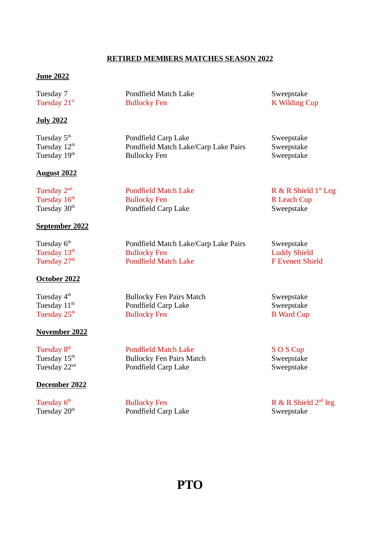## RETIRED MEMBERS MATCHES SEASON 2022

### June 2022

| Tuesday 7                | Pondfield Match Lake                 | Sweepstake                       |
|--------------------------|--------------------------------------|----------------------------------|
| Tuesday 21 <sup>st</sup> | <b>Bullocky Fen</b>                  | <b>K Wilding Cup</b>             |
| <b>July 2022</b>         |                                      |                                  |
| Tuesday 5 <sup>th</sup>  | Pondfield Carp Lake                  | Sweepstake                       |
| Tuesday 12 <sup>th</sup> | Pondfield Match Lake/Carp Lake Pairs | Sweepstake                       |
| Tuesday 19th             | <b>Bullocky Fen</b>                  | Sweepstake                       |
| <b>August 2022</b>       |                                      |                                  |
| Tuesday 2 <sup>nd</sup>  | <b>Pondfield Match Lake</b>          | R & R Shield 1 <sup>st</sup> Leg |
| Tuesday 16 <sup>th</sup> | <b>Bullocky Fen</b>                  | R Leach Cup                      |
| Tuesday 30 <sup>th</sup> | Pondfield Carp Lake                  | Sweepstake                       |
| <b>September 2022</b>    |                                      |                                  |
| Tuesday 6 <sup>th</sup>  | Pondfield Match Lake/Carp Lake Pairs | Sweepstake                       |
| Tuesday 13 <sup>th</sup> | <b>Bullocky Fen</b>                  | <b>Luddy Shield</b>              |
| Tuesday 27 <sup>th</sup> | <b>Pondfield Match Lake</b>          | <b>F</b> Evenett Shield          |
| October 2022             |                                      |                                  |
| Tuesday 4 <sup>th</sup>  | <b>Bullocky Fen Pairs Match</b>      | Sweepstake                       |
| Tuesday 11 <sup>th</sup> | Pondfield Carp Lake                  | Sweepstake                       |
| Tuesday 25 <sup>th</sup> | <b>Bullocky Fen</b>                  | <b>B</b> Ward Cup                |
| <b>November 2022</b>     |                                      |                                  |
| Tuesday 8 <sup>th</sup>  | <b>Pondfield Match Lake</b>          | S O S Cup                        |
| Tuesday 15 <sup>th</sup> | <b>Bullocky Fen Pairs Match</b>      | Sweepstake                       |
| Tuesday 22 <sup>nd</sup> | Pondfield Carp Lake                  | Sweepstake                       |
| December 2022            |                                      |                                  |

Pondfield Carp Lake

Tuesday  $6^{\text{th}}$  Bullocky Fen R & R Shield  $2^{\text{nd}}$  leg Tuesday  $20^{\text{th}}$  Pondfield Carp Lake Sweepstake